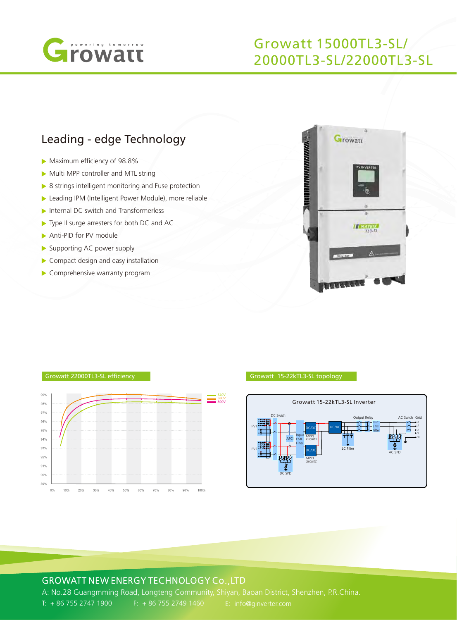

## Growatt 15000TL3-SL/ 20000TL3-SL/22000TL3-SL

## Leading - edge Technology

- Maximum efficiency of 98.8%
- Multi MPP controller and MTL string
- ▶ 8 strings intelligent monitoring and Fuse protection
- Leading IPM (Intelligent Power Module), more reliable
- Internal DC switch and Transformerless
- ▶ Type II surge arresters for both DC and AC
- Anti-PID for PV module

 $89<sup>°</sup>$  $0%$ 10% 20%

- Supporting AC power supply
- Compact design and easy installation
- Comprehensive warranty program



#### 999 540V 580V 98% 97% 96% 95% 94% 93% 92% 91%  $90%$

40%

#### Growatt 22000TL3-SL efficiency Growatt 15-22kTL3-SL topology



### GROWATT NEW ENERGY TECHNOLOGY Co.,LTD

A: No.28 Guangmming Road, Longteng Community, Shiyan, Baoan District, Shenzhen, P.R.China. T: + 86 755 2747 1900 F: + 86 755 2749 1460 E: info@ginverter.com